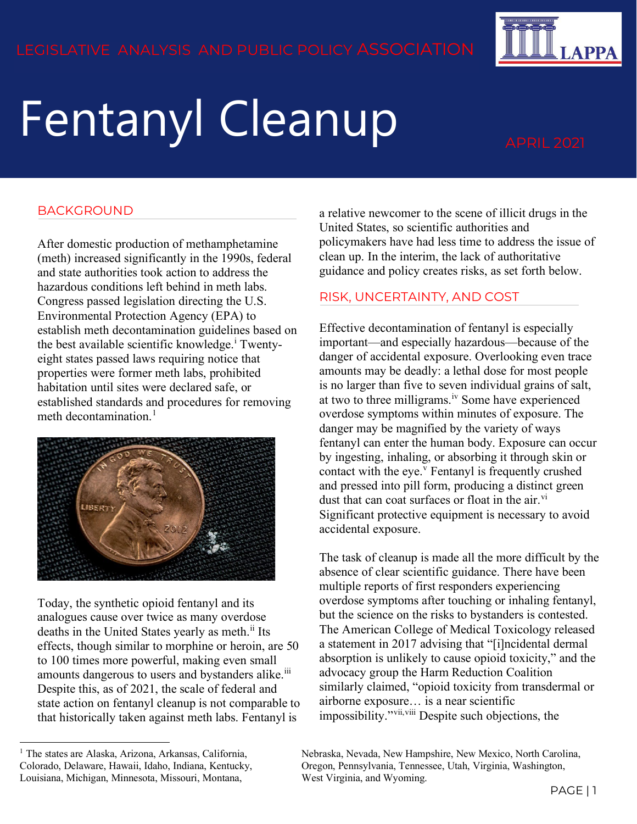

# Fentanyl Cleanup APRIL 2021

## BACKGROUND

After domestic production of methamphetamine (meth) increased significantly in the 1990s, federal and state authorities took action to address the hazardous conditions left behind in meth labs. Congress passed legislation directing the U.S. Environmental Protection Agency (EPA) to establish meth decontamination guidelines based on the best ava[i](#page-3-0)lable scientific knowledge.<sup>i</sup> Twentyeight states passed laws requiring notice that properties were former meth labs, prohibited habitation until sites were declared safe, or established standards and procedures for removing meth decontamination.<sup>[1](#page-0-0)</sup>



Today, the synthetic opioid fentanyl and its analogues cause over twice as many overdose deaths in the United States yearly as meth.<sup>[ii](#page-3-1)</sup> Its effects, though similar to morphine or heroin, are 50 to 100 times more powerful, making even small amounts dangerous to users and bystanders alike.<sup>111</sup> Despite this, as of 2021, the scale of federal and state action on fentanyl cleanup is not comparable to that historically taken against meth labs. Fentanyl is

a relative newcomer to the scene of illicit drugs in the United States, so scientific authorities and policymakers have had less time to address the issue of clean up. In the interim, the lack of authoritative guidance and policy creates risks, as set forth below.

#### RISK, UNCERTAINTY, AND COST

Effective decontamination of fentanyl is especially important—and especially hazardous—because of the danger of accidental exposure. Overlooking even trace amounts may be deadly: a lethal dose for most people is no larger than five to seven individual grains of salt, at two to three milligrams.<sup>[iv](#page-3-3)</sup> Some have experienced overdose symptoms within minutes of exposure. The danger may be magnified by the variety of ways fentanyl can enter the human body. Exposure can occur by ingesting, inhaling, or absorbing it through skin or contact with the eye. $^v$  $^v$  Fentanyl is frequently crushed and pressed into pill form, producing a distinct green dust that can coat surfaces or float in the air. $\overline{v}$ <sup>i</sup> Significant protective equipment is necessary to avoid accidental exposure.

The task of cleanup is made all the more difficult by the absence of clear scientific guidance. There have been multiple reports of first responders experiencing overdose symptoms after touching or inhaling fentanyl, but the science on the risks to bystanders is contested. The American College of Medical Toxicology released a statement in 2017 advising that "[i]ncidental dermal absorption is unlikely to cause opioid toxicity," and the advocacy group the Harm Reduction Coalition similarly claimed, "opioid toxicity from transdermal or airborne exposure… is a near scientific impossibility."[vii,](#page-3-6)[viii](#page-3-7) Despite such objections, the

<span id="page-0-0"></span><sup>&</sup>lt;sup>1</sup> The states are Alaska, Arizona, Arkansas, California, Colorado, Delaware, Hawaii, Idaho, Indiana, Kentucky, Louisiana, Michigan, Minnesota, Missouri, Montana,

Nebraska, Nevada, New Hampshire, New Mexico, North Carolina, Oregon, Pennsylvania, Tennessee, Utah, Virginia, Washington, West Virginia, and Wyoming.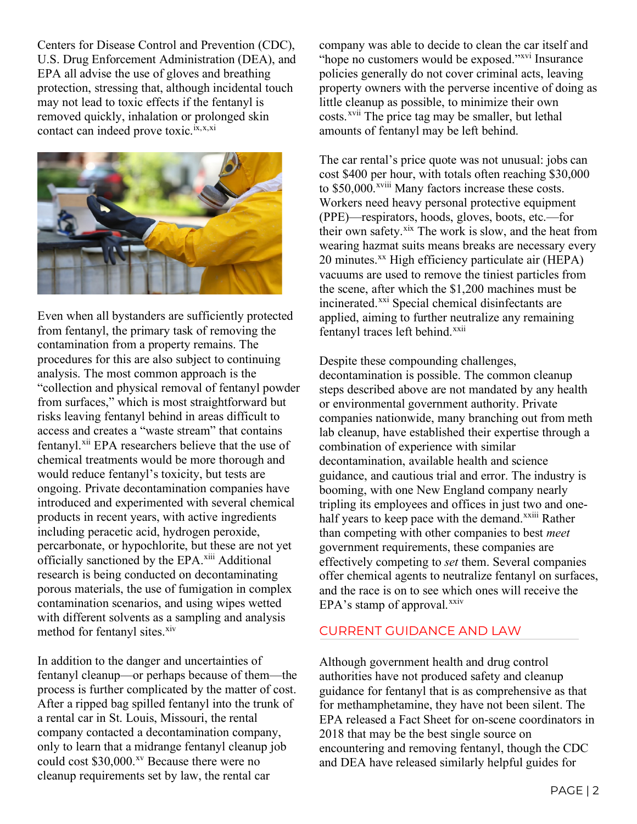Centers for Disease Control and Prevention (CDC), U.S. Drug Enforcement Administration (DEA), and EPA all advise the use of gloves and breathing protection, stressing that, although incidental touch may not lead to toxic effects if the fentanyl is removed quickly, inhalation or prolonged skin contact can indeed prove toxic.<sup>[ix](#page-3-8),[x,](#page-3-9)[xi](#page-3-10)</sup>



Even when all bystanders are sufficiently protected from fentanyl, the primary task of removing the contamination from a property remains. The procedures for this are also subject to continuing analysis. The most common approach is the "collection and physical removal of fentanyl powder from surfaces," which is most straightforward but risks leaving fentanyl behind in areas difficult to access and creates a "waste stream" that contains fentanyl.<sup>[xii](#page-3-11)</sup> EPA researchers believe that the use of chemical treatments would be more thorough and would reduce fentanyl's toxicity, but tests are ongoing. Private decontamination companies have introduced and experimented with several chemical products in recent years, with active ingredients including peracetic acid, hydrogen peroxide, percarbonate, or hypochlorite, but these are not yet officially sanctioned by the EPA.<sup>[xiii](#page-3-12)</sup> Additional research is being conducted on decontaminating porous materials, the use of fumigation in complex contamination scenarios, and using wipes wetted with different solvents as a sampling and analysis method for fentanyl sites.<sup>[xiv](#page-3-13)</sup>

In addition to the danger and uncertainties of fentanyl cleanup—or perhaps because of them—the process is further complicated by the matter of cost. After a ripped bag spilled fentanyl into the trunk of a rental car in St. Louis, Missouri, the rental company contacted a decontamination company, only to learn that a midrange fentanyl cleanup job could cost \$30,000.<sup>[xv](#page-3-14)</sup> Because there were no cleanup requirements set by law, the rental car

company was able to decide to clean the car itself and "hope no customers would be exposed."<sup>[xvi](#page-3-15)</sup> Insurance" policies generally do not cover criminal acts, leaving property owners with the perverse incentive of doing as little cleanup as possible, to minimize their own costs.<sup>[xvii](#page-3-16)</sup> The price tag may be smaller, but lethal amounts of fentanyl may be left behind.

The car rental's price quote was not unusual: jobs can cost \$400 per hour, with totals often reaching \$30,000 to \$50,000.<sup>xv[i](#page-3-17)ii</sup> Many factors increase these costs. Workers need heavy personal protective equipment (PPE)—respirators, hoods, gloves, boots, etc.—for their own safety.<sup>[xix](#page-3-18)</sup> The work is slow, and the heat from wearing hazmat suits means breaks are necessary every 20 minutes.<sup>[xx](#page-3-19)</sup> High efficiency particulate air (HEPA) vacuums are used to remove the tiniest particles from the scene, after which the \$1,200 machines must be incinerated.<sup>[xxi](#page-3-20)</sup> Special chemical disinfectants are applied, aiming to further neutralize any remaining fentanyl traces left behind.<sup>[xxii](#page-3-21)</sup>

Despite these compounding challenges, decontamination is possible. The common cleanup steps described above are not mandated by any health or environmental government authority. Private companies nationwide, many branching out from meth lab cleanup, have established their expertise through a combination of experience with similar decontamination, available health and science guidance, and cautious trial and error. The industry is booming, with one New England company nearly tripling its employees and offices in just tw[o](#page-3-22) and onehalf years to keep pace with the demand.<sup>xxiii</sup> Rather than competing with other companies to best *meet* government requirements, these companies are effectively competing to *set* them. Several companies offer chemical agents to neutralize fentanyl on surfaces, and the race is on to see which ones will receive the EPA's stamp of approval. $x$ xiv

### CURRENT GUIDANCE AND LAW

Although government health and drug control authorities have not produced safety and cleanup guidance for fentanyl that is as comprehensive as that for methamphetamine, they have not been silent. The EPA released a Fact Sheet for on-scene coordinators in 2018 that may be the best single source on encountering and removing fentanyl, though the CDC and DEA have released similarly helpful guides for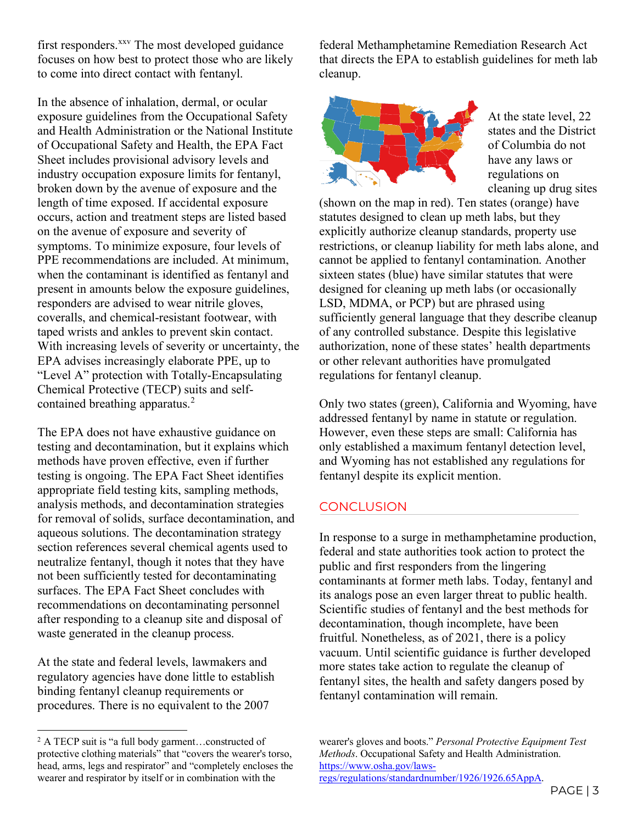first responders.<sup>[xxv](#page-3-24)</sup> The most developed guidance focuses on how best to protect those who are likely to come into direct contact with fentanyl.

In the absence of inhalation, dermal, or ocular exposure guidelines from the Occupational Safety and Health Administration or the National Institute of Occupational Safety and Health, the EPA Fact Sheet includes provisional advisory levels and industry occupation exposure limits for fentanyl, broken down by the avenue of exposure and the length of time exposed. If accidental exposure occurs, action and treatment steps are listed based on the avenue of exposure and severity of symptoms. To minimize exposure, four levels of PPE recommendations are included. At minimum, when the contaminant is identified as fentanyl and present in amounts below the exposure guidelines, responders are advised to wear nitrile gloves, coveralls, and chemical-resistant footwear, with taped wrists and ankles to prevent skin contact. With increasing levels of severity or uncertainty, the EPA advises increasingly elaborate PPE, up to "Level A" protection with Totally-Encapsulating Chemical Protective (TECP) suits and self-contained breathing apparatus.<sup>[2](#page-2-0)</sup>

The EPA does not have exhaustive guidance on testing and decontamination, but it explains which methods have proven effective, even if further testing is ongoing. The EPA Fact Sheet identifies appropriate field testing kits, sampling methods, analysis methods, and decontamination strategies for removal of solids, surface decontamination, and aqueous solutions. The decontamination strategy section references several chemical agents used to neutralize fentanyl, though it notes that they have not been sufficiently tested for decontaminating surfaces. The EPA Fact Sheet concludes with recommendations on decontaminating personnel after responding to a cleanup site and disposal of waste generated in the cleanup process.

At the state and federal levels, lawmakers and regulatory agencies have done little to establish binding fentanyl cleanup requirements or procedures. There is no equivalent to the 2007

federal Methamphetamine Remediation Research Act that directs the EPA to establish guidelines for meth lab cleanup.



At the state level, 22 states and the District of Columbia do not have any laws or regulations on cleaning up drug sites

(shown on the map in red). Ten states (orange) have statutes designed to clean up meth labs, but they explicitly authorize cleanup standards, property use restrictions, or cleanup liability for meth labs alone, and cannot be applied to fentanyl contamination. Another sixteen states (blue) have similar statutes that were designed for cleaning up meth labs (or occasionally LSD, MDMA, or PCP) but are phrased using sufficiently general language that they describe cleanup of any controlled substance. Despite this legislative authorization, none of these states' health departments or other relevant authorities have promulgated regulations for fentanyl cleanup.

Only two states (green), California and Wyoming, have addressed fentanyl by name in statute or regulation. However, even these steps are small: California has only established a maximum fentanyl detection level, and Wyoming has not established any regulations for fentanyl despite its explicit mention.

### **CONCLUSION**

In response to a surge in methamphetamine production, federal and state authorities took action to protect the public and first responders from the lingering contaminants at former meth labs. Today, fentanyl and its analogs pose an even larger threat to public health. Scientific studies of fentanyl and the best methods for decontamination, though incomplete, have been fruitful. Nonetheless, as of 2021, there is a policy vacuum. Until scientific guidance is further developed more states take action to regulate the cleanup of fentanyl sites, the health and safety dangers posed by fentanyl contamination will remain.

wearer's gloves and boots." *Personal Protective Equipment Test Methods*. Occupational Safety and Health Administration. [https://www.osha.gov/laws](https://www.osha.gov/laws-regs/regulations/standardnumber/1926/1926.65AppA)[regs/regulations/standardnumber/1926/1926.65AppA.](https://www.osha.gov/laws-regs/regulations/standardnumber/1926/1926.65AppA)

<span id="page-2-0"></span><sup>&</sup>lt;sup>2</sup> A TECP suit is "a full body garment...constructed of protective clothing materials" that "covers the wearer's torso, head, arms, legs and respirator" and "completely encloses the wearer and respirator by itself or in combination with the